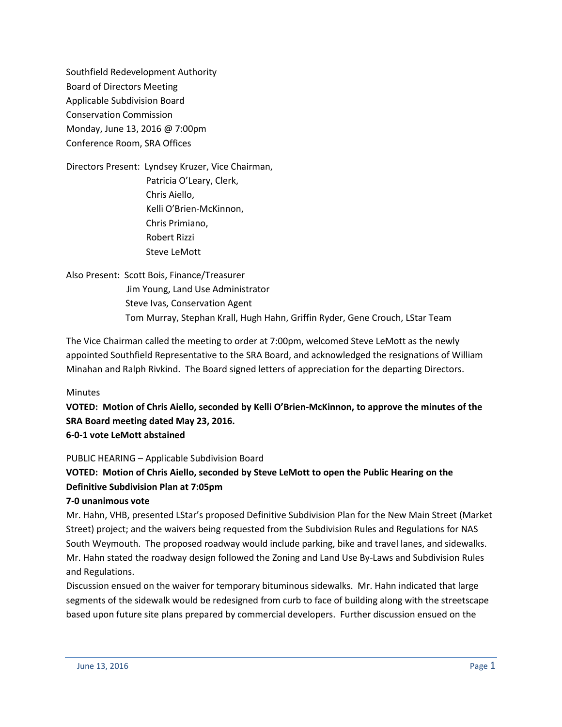Southfield Redevelopment Authority Board of Directors Meeting Applicable Subdivision Board Conservation Commission Monday, June 13, 2016 @ 7:00pm Conference Room, SRA Offices

Directors Present: Lyndsey Kruzer, Vice Chairman, Patricia O'Leary, Clerk, Chris Aiello, Kelli O'Brien-McKinnon, Chris Primiano, Robert Rizzi Steve LeMott

Also Present: Scott Bois, Finance/Treasurer Jim Young, Land Use Administrator Steve Ivas, Conservation Agent Tom Murray, Stephan Krall, Hugh Hahn, Griffin Ryder, Gene Crouch, LStar Team

The Vice Chairman called the meeting to order at 7:00pm, welcomed Steve LeMott as the newly appointed Southfield Representative to the SRA Board, and acknowledged the resignations of William Minahan and Ralph Rivkind. The Board signed letters of appreciation for the departing Directors.

Minutes

**VOTED: Motion of Chris Aiello, seconded by Kelli O'Brien-McKinnon, to approve the minutes of the SRA Board meeting dated May 23, 2016. 6-0-1 vote LeMott abstained**

### PUBLIC HEARING – Applicable Subdivision Board

## **VOTED: Motion of Chris Aiello, seconded by Steve LeMott to open the Public Hearing on the Definitive Subdivision Plan at 7:05pm**

### **7-0 unanimous vote**

Mr. Hahn, VHB, presented LStar's proposed Definitive Subdivision Plan for the New Main Street (Market Street) project; and the waivers being requested from the Subdivision Rules and Regulations for NAS South Weymouth. The proposed roadway would include parking, bike and travel lanes, and sidewalks. Mr. Hahn stated the roadway design followed the Zoning and Land Use By-Laws and Subdivision Rules and Regulations.

Discussion ensued on the waiver for temporary bituminous sidewalks. Mr. Hahn indicated that large segments of the sidewalk would be redesigned from curb to face of building along with the streetscape based upon future site plans prepared by commercial developers. Further discussion ensued on the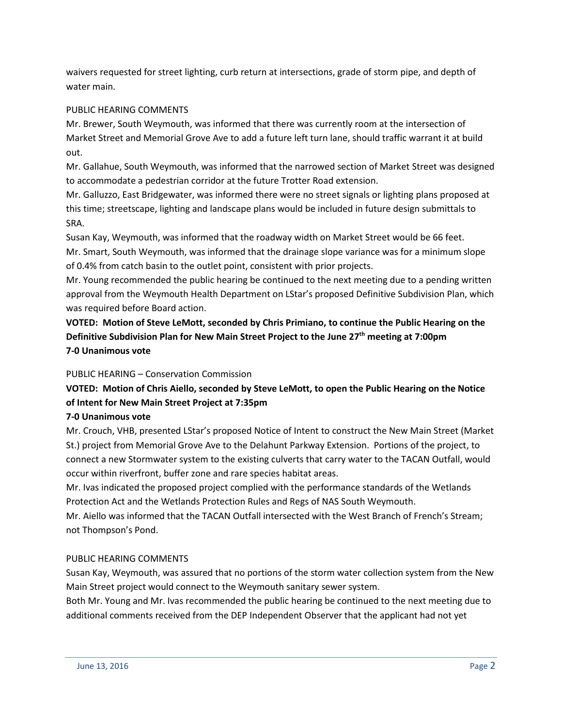waivers requested for street lighting, curb return at intersections, grade of storm pipe, and depth of water main.

## PUBLIC HEARING COMMENTS

Mr. Brewer, South Weymouth, was informed that there was currently room at the intersection of Market Street and Memorial Grove Ave to add a future left turn lane, should traffic warrant it at build out.

Mr. Gallahue, South Weymouth, was informed that the narrowed section of Market Street was designed to accommodate a pedestrian corridor at the future Trotter Road extension.

Mr. Galluzzo, East Bridgewater, was informed there were no street signals or lighting plans proposed at this time; streetscape, lighting and landscape plans would be included in future design submittals to SRA.

Susan Kay, Weymouth, was informed that the roadway width on Market Street would be 66 feet. Mr. Smart, South Weymouth, was informed that the drainage slope variance was for a minimum slope of 0.4% from catch basin to the outlet point, consistent with prior projects.

Mr. Young recommended the public hearing be continued to the next meeting due to a pending written approval from the Weymouth Health Department on LStar's proposed Definitive Subdivision Plan, which was required before Board action.

**VOTED: Motion of Steve LeMott, seconded by Chris Primiano, to continue the Public Hearing on the Definitive Subdivision Plan for New Main Street Project to the June 27th meeting at 7:00pm 7-0 Unanimous vote**

## PUBLIC HEARING – Conservation Commission

# **VOTED: Motion of Chris Aiello, seconded by Steve LeMott, to open the Public Hearing on the Notice of Intent for New Main Street Project at 7:35pm**

### **7-0 Unanimous vote**

Mr. Crouch, VHB, presented LStar's proposed Notice of Intent to construct the New Main Street (Market St.) project from Memorial Grove Ave to the Delahunt Parkway Extension. Portions of the project, to connect a new Stormwater system to the existing culverts that carry water to the TACAN Outfall, would occur within riverfront, buffer zone and rare species habitat areas.

Mr. Ivas indicated the proposed project complied with the performance standards of the Wetlands Protection Act and the Wetlands Protection Rules and Regs of NAS South Weymouth.

Mr. Aiello was informed that the TACAN Outfall intersected with the West Branch of French's Stream; not Thompson's Pond.

## PUBLIC HEARING COMMENTS

Susan Kay, Weymouth, was assured that no portions of the storm water collection system from the New Main Street project would connect to the Weymouth sanitary sewer system.

Both Mr. Young and Mr. Ivas recommended the public hearing be continued to the next meeting due to additional comments received from the DEP Independent Observer that the applicant had not yet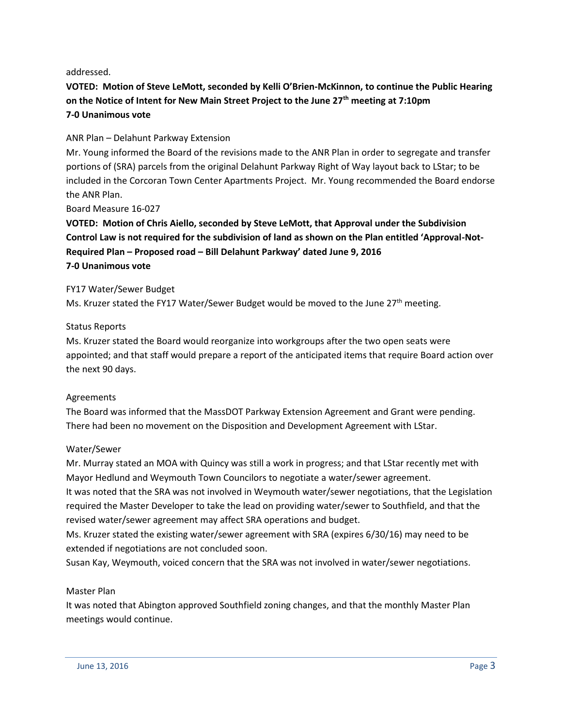addressed.

**VOTED: Motion of Steve LeMott, seconded by Kelli O'Brien-McKinnon, to continue the Public Hearing on the Notice of Intent for New Main Street Project to the June 27th meeting at 7:10pm 7-0 Unanimous vote**

### ANR Plan – Delahunt Parkway Extension

Mr. Young informed the Board of the revisions made to the ANR Plan in order to segregate and transfer portions of (SRA) parcels from the original Delahunt Parkway Right of Way layout back to LStar; to be included in the Corcoran Town Center Apartments Project. Mr. Young recommended the Board endorse the ANR Plan.

Board Measure 16-027

**VOTED: Motion of Chris Aiello, seconded by Steve LeMott, that Approval under the Subdivision Control Law is not required for the subdivision of land as shown on the Plan entitled 'Approval-Not-Required Plan – Proposed road – Bill Delahunt Parkway' dated June 9, 2016 7-0 Unanimous vote**

### FY17 Water/Sewer Budget

Ms. Kruzer stated the FY17 Water/Sewer Budget would be moved to the June 27<sup>th</sup> meeting.

### Status Reports

Ms. Kruzer stated the Board would reorganize into workgroups after the two open seats were appointed; and that staff would prepare a report of the anticipated items that require Board action over the next 90 days.

### Agreements

The Board was informed that the MassDOT Parkway Extension Agreement and Grant were pending. There had been no movement on the Disposition and Development Agreement with LStar.

### Water/Sewer

Mr. Murray stated an MOA with Quincy was still a work in progress; and that LStar recently met with Mayor Hedlund and Weymouth Town Councilors to negotiate a water/sewer agreement.

It was noted that the SRA was not involved in Weymouth water/sewer negotiations, that the Legislation required the Master Developer to take the lead on providing water/sewer to Southfield, and that the revised water/sewer agreement may affect SRA operations and budget.

Ms. Kruzer stated the existing water/sewer agreement with SRA (expires 6/30/16) may need to be extended if negotiations are not concluded soon.

Susan Kay, Weymouth, voiced concern that the SRA was not involved in water/sewer negotiations.

### Master Plan

It was noted that Abington approved Southfield zoning changes, and that the monthly Master Plan meetings would continue.